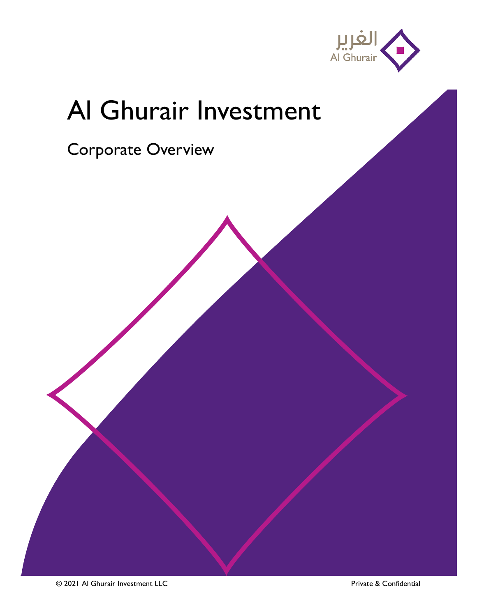

## Al Ghurair Investment

Corporate Overview

© 2021 Al Ghurair Investment LLC Private & Confidential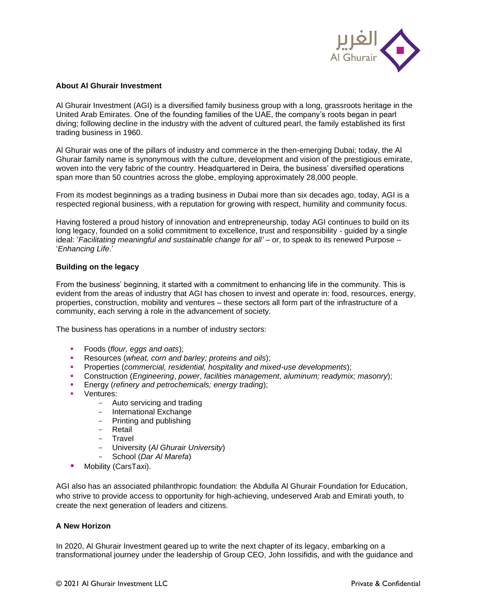

## **About Al Ghurair Investment**

Al Ghurair Investment (AGI) is a diversified family business group with a long, grassroots heritage in the United Arab Emirates. One of the founding families of the UAE, the company's roots began in pearl diving; following decline in the industry with the advent of cultured pearl, the family established its first trading business in 1960.

Al Ghurair was one of the pillars of industry and commerce in the then-emerging Dubai; today, the Al Ghurair family name is synonymous with the culture, development and vision of the prestigious emirate, woven into the very fabric of the country. Headquartered in Deira, the business' diversified operations span more than 50 countries across the globe, employing approximately 28,000 people.

From its modest beginnings as a trading business in Dubai more than six decades ago, today, AGI is a respected regional business, with a reputation for growing with respect, humility and community focus.

Having fostered a proud history of innovation and entrepreneurship, today AGI continues to build on its long legacy, founded on a solid commitment to excellence, trust and responsibility - guided by a single ideal: '*Facilitating meaningful and sustainable change for all'* – or, to speak to its renewed Purpose – '*Enhancing Life*.'

## **Building on the legacy**

From the business' beginning, it started with a commitment to enhancing life in the community. This is evident from the areas of industry that AGI has chosen to invest and operate in: food, resources, energy, properties, construction, mobility and ventures – these sectors all form part of the infrastructure of a community, each serving a role in the advancement of society.

The business has operations in a number of industry sectors:

- Foods (*flour, eggs and oats*);
- Resources (*wheat, corn and barley; proteins and oils*);
- Properties (*commercial, residential, hospitality and mixed-use developments*);
- Construction (*Engineering*, *power*, *facilities management*, *aluminum; readymix; masonry*);
- Energy (*refinery and petrochemicals; energy trading*);
- Ventures:
	- Auto servicing and trading
	- International Exchange
	- Printing and publishing
	- Retail
	- Travel
	- University (*Al Ghurair University*)
	- School (*Dar Al Marefa*)
- Mobility (CarsTaxi).

AGI also has an associated philanthropic foundation: the Abdulla Al Ghurair Foundation for Education, who strive to provide access to opportunity for high-achieving, undeserved Arab and Emirati youth, to create the next generation of leaders and citizens.

## **A New Horizon**

In 2020, Al Ghurair Investment geared up to write the next chapter of its legacy, embarking on a transformational journey under the leadership of Group CEO, John Iossifidis, and with the guidance and